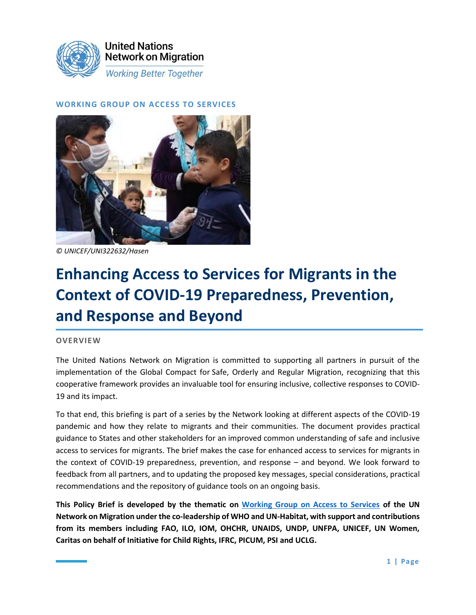

### **WORKING GROUP ON ACCESS TO SERVICES**



*© UNICEF/UNI322632/Hasen*

# **Enhancing Access to Services for Migrants in the Context of COVID-19 Preparedness, Prevention, and Response and Beyond**

#### **OVERVIEW**

The United Nations Network on Migration is committed to supporting all partners in pursuit of the implementation of the Global Compact for Safe, Orderly and Regular Migration, recognizing that this cooperative framework provides an invaluable tool for ensuring inclusive, collective responses to COVID-19 and its impact.

To that end, this briefing is part of a series by the Network looking at different aspects of the COVID-19 pandemic and how they relate to migrants and their communities. The document provides practical guidance to States and other stakeholders for an improved common understanding of safe and inclusive access to services for migrants. The brief makes the case for enhanced access to services for migrants in the context of COVID-19 preparedness, prevention, and response – and beyond. We look forward to feedback from all partners, and to updating the proposed key messages, special considerations, practical recommendations and the repository of guidance tools on an ongoing basis.

**This Policy Brief is developed by the thematic on [Working Group on Access to Services](https://migrationnetwork.un.org/thematic-working-group-6-access-services) of the UN Network on Migration under the co-leadership of WHO and UN-Habitat, with support and contributions from its members including FAO, ILO, IOM, OHCHR, UNAIDS, UNDP, UNFPA, UNICEF, UN Women, Caritas on behalf of Initiative for Child Rights, IFRC, PICUM, PSI and UCLG.**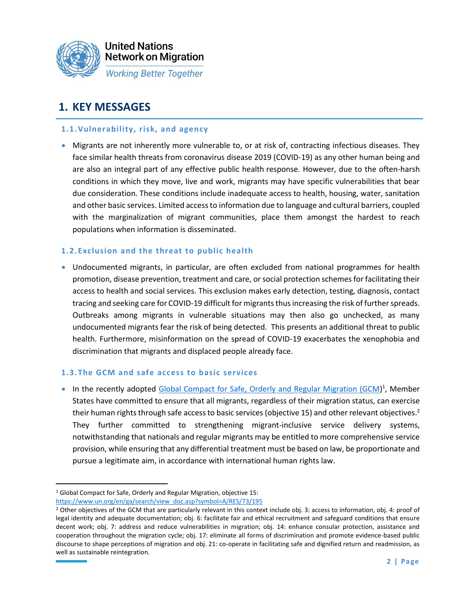

# **1. KEY MESSAGES**

#### **1.1.Vulnerability, risk, and agency**

• Migrants are not inherently more vulnerable to, or at risk of, contracting infectious diseases. They face similar health threats from coronavirus disease 2019 (COVID-19) as any other human being and are also an integral part of any effective public health response. However, due to the often-harsh conditions in which they move, live and work, migrants may have specific vulnerabilities that bear due consideration. These conditions include inadequate access to health, housing, water, sanitation and other basic services. Limited access to information due to language and cultural barriers, coupled with the marginalization of migrant communities, place them amongst the hardest to reach populations when information is disseminated.

### **1.2. Exclusion and the threat to public health**

• Undocumented migrants, in particular, are often excluded from national programmes for health promotion, disease prevention, treatment and care, or social protection schemes for facilitating their access to health and social services. This exclusion makes early detection, testing, diagnosis, contact tracing and seeking care for COVID-19 difficult for migrants thus increasing the risk of further spreads. Outbreaks among migrants in vulnerable situations may then also go unchecked, as many undocumented migrants fear the risk of being detected. This presents an additional threat to public health. Furthermore, misinformation on the spread of COVID-19 exacerbates the xenophobia and discrimination that migrants and displaced people already face.

### **1.3. The GCM and safe access to basic services**

• In the recently adopted [Global Compact for Safe, Orderly and Regular Migration \(GCM\)](https://migrationnetwork.un.org/sites/default/files/docs/gcm-n1845199.pdf)<sup>1</sup>, Member States have committed to ensure that all migrants, regardless of their migration status, can exercise their human rights through safe access to basic services (objective 15) and other relevant objectives.<sup>2</sup> They further committed to strengthening migrant-inclusive service delivery systems, notwithstanding that nationals and regular migrants may be entitled to more comprehensive service provision, while ensuring that any differential treatment must be based on law, be proportionate and pursue a legitimate aim, in accordance with international human rights law.

<sup>1</sup> Global Compact for Safe, Orderly and Regular Migration, objective 15:

[https://www.un.org/en/ga/search/view\\_doc.asp?symbol=A/RES/73/195](https://www.un.org/en/ga/search/view_doc.asp?symbol=A/RES/73/195)

<sup>&</sup>lt;sup>2</sup> Other objectives of the GCM that are particularly relevant in this context include obj. 3: access to information, obj. 4: proof of legal identity and adequate documentation; obj. 6: facilitate fair and ethical recruitment and safeguard conditions that ensure decent work; obj. 7: address and reduce vulnerabilities in migration; obj. 14: enhance consular protection, assistance and cooperation throughout the migration cycle; obj. 17: eliminate all forms of discrimination and promote evidence-based public discourse to shape perceptions of migration and obj. 21: co-operate in facilitating safe and dignified return and readmission, as well as sustainable reintegration.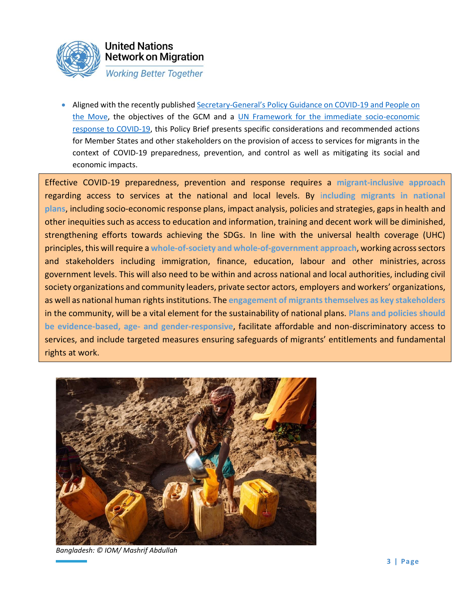

• Aligned with the recently published Secretary-[General's Policy Guidance on COVID](https://www.un.org/sites/un2.un.org/files/sg_policy_brief_on_people_on_the_move.pdf)-19 and People on [the Move,](https://www.un.org/sites/un2.un.org/files/sg_policy_brief_on_people_on_the_move.pdf) the objectives of the GCM and a [UN Framework for the immediate socio-economic](https://unsdg.un.org/resources/un-framework-immediate-socio-economic-response-covid-19)  [response to COVID-19,](https://unsdg.un.org/resources/un-framework-immediate-socio-economic-response-covid-19) this Policy Brief presents specific considerations and recommended actions for Member States and other stakeholders on the provision of access to services for migrants in the context of COVID-19 preparedness, prevention, and control as well as mitigating its social and economic impacts.

Effective COVID-19 preparedness, prevention and response requires a **migrant-inclusive approach** regarding access to services at the national and local levels. By i**ncluding migrants in national plans**, including socio-economic response plans, impact analysis, policies and strategies, gaps in health and other inequities such as access to education and information, training and decent work will be diminished, strengthening efforts towards achieving the SDGs. In line with the universal health coverage (UHC) principles, this will require a **whole-of-society and whole-of-government approach**, working across sectors and stakeholders including immigration, finance, education, labour and other ministries, across government levels. This will also need to be within and across national and local authorities, including civil society organizations and community leaders, private sector actors, employers and workers' organizations, as well as national human rights institutions. The **engagement of migrants themselves as key stakeholders** in the community, will be a vital element for the sustainability of national plans. **Plans and policies should be evidence-based, age- and gender-responsive**, facilitate affordable and non-discriminatory access to services, and include targeted measures ensuring safeguards of migrants' entitlements and fundamental rights at work.



*Bangladesh: © IOM/ Mashrif Abdullah*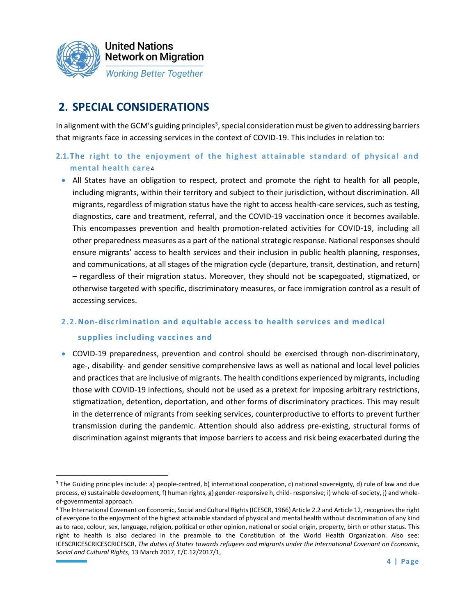

# **2. SPECIAL CONSIDERATIONS**

In alignment with the GCM's guiding principles<sup>3</sup>, special consideration must be given to addressing barriers that migrants face in accessing services in the context of COVID-19. This includes in relation to:

### **2.1.The right to the enjoyment of the highest attainable standard of physical and mental health care** 4

• All States have an obligation to respect, protect and promote the right to health for all people, including migrants, within their territory and subject to their jurisdiction, without discrimination. All migrants, regardless of migration status have the right to access health-care services, such as testing, diagnostics, care and treatment, referral, and the COVID-19 vaccination once it becomes available. This encompasses prevention and health promotion-related activities for COVID-19, including all other preparedness measures as a part of the national strategic response. National responses should ensure migrants' access to health services and their inclusion in public health planning, responses, and communications, at all stages of the migration cycle (departure, transit, destination, and return) – regardless of their migration status. Moreover, they should not be scapegoated, stigmatized, or otherwise targeted with specific, discriminatory measures, or face immigration control as a result of accessing services.

# **2.2.Non-discrimination and equitable access to health services and medical supplies including vaccines and**

• COVID-19 preparedness, prevention and control should be exercised through non-discriminatory, age-, disability- and gender sensitive comprehensive laws as well as national and local level policies and practices that are inclusive of migrants. The health conditions experienced by migrants, including those with COVID-19 infections, should not be used as a pretext for imposing arbitrary restrictions, stigmatization, detention, deportation, and other forms of discriminatory practices. This may result in the deterrence of migrants from seeking services, counterproductive to efforts to prevent further transmission during the pandemic. Attention should also address pre-existing, structural forms of discrimination against migrants that impose barriers to access and risk being exacerbated during the

<sup>&</sup>lt;sup>3</sup> The Guiding principles include: a) people-centred, b) international cooperation, c) national sovereignty, d) rule of law and due process, e) sustainable development, f) human rights, g) gender-responsive h, child- responsive; i) whole-of-society, j) and wholeof-governmental approach.

<sup>4</sup> The International Covenant on Economic, Social and Cultural Rights (ICESCR, 1966) Article 2.2 and Article 12, recognizes the right of everyone to the enjoyment of the highest attainable standard of physical and mental health without discrimination of any kind as to race, colour, sex, language, religion, political or other opinion, national or social origin, property, birth or other status. This right to health is also declared in the preamble to the Constitution of the World Health Organization. Also see: ICESCRICESCRICESCRICESCR, *The duties of States towards refugees and migrants under the International Covenant on Economic, Social and Cultural Rights*, 13 March 2017, E/C.12/2017/1,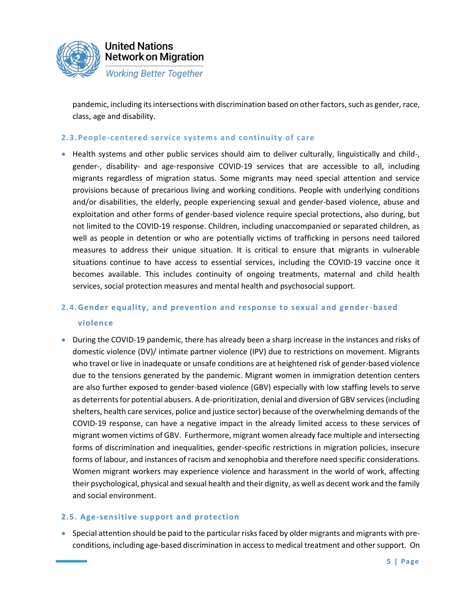

pandemic, including its intersections with discrimination based on other factors, such as gender, race, class, age and disability.

#### **2.3.People-centered service systems and continuity of care**

• Health systems and other public services should aim to deliver culturally, linguistically and child-, gender-, disability- and age-responsive COVID-19 services that are accessible to all, including migrants regardless of migration status. Some migrants may need special attention and service provisions because of precarious living and working conditions. People with underlying conditions and/or disabilities, the elderly, people experiencing sexual and gender-based violence, abuse and exploitation and other forms of gender-based violence require special protections, also during, but not limited to the COVID-19 response. Children, including unaccompanied or separated children, as well as people in detention or who are potentially victims of trafficking in persons need tailored measures to address their unique situation. It is critical to ensure that migrants in vulnerable situations continue to have access to essential services, including the COVID-19 vaccine once it becomes available. This includes continuity of ongoing treatments, maternal and child health services, social protection measures and mental health and psychosocial support.

## **2.4.Gender equality, and prevention and response to sexual and gender-based violence**

• During the COVID-19 pandemic, there has already been a sharp increase in the instances and risks of domestic violence (DV)/ intimate partner violence (IPV) due to restrictions on movement. Migrants who travel or live in inadequate or unsafe conditions are at heightened risk of gender-based violence due to the tensions generated by the pandemic. Migrant women in immigration detention centers are also further exposed to gender-based violence (GBV) especially with low staffing levels to serve as deterrents for potential abusers. A de-prioritization, denial and diversion of GBV services (including shelters, health care services, police and justice sector) because of the overwhelming demands of the COVID-19 response, can have a negative impact in the already limited access to these services of migrant women victims of GBV. Furthermore, migrant women already face multiple and intersecting forms of discrimination and inequalities, gender-specific restrictions in migration policies, insecure forms of labour, and instances of racism and xenophobia and therefore need specific considerations. Women migrant workers may experience violence and harassment in the world of work, affecting their psychological, physical and sexual health and their dignity, as well as decent work and the family and social environment.

### **2.5. Age-sensitive support and protection**

• Special attention should be paid to the particular risks faced by older migrants and migrants with preconditions, including age-based discrimination in access to medical treatment and other support. On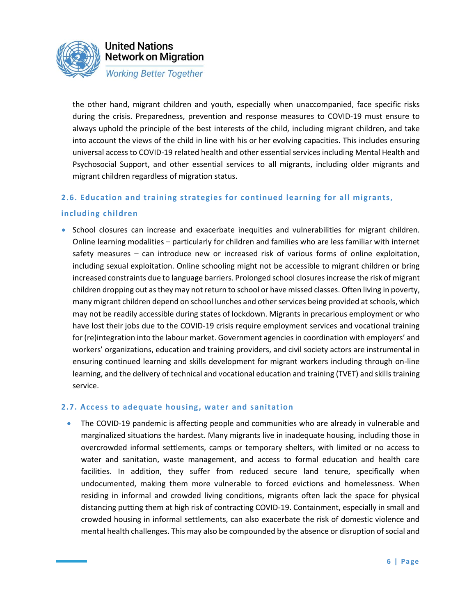

the other hand, migrant children and youth, especially when unaccompanied, face specific risks during the crisis. Preparedness, prevention and response measures to COVID-19 must ensure to always uphold the principle of the best interests of the child, including migrant children, and take into account the views of the child in line with his or her evolving capacities. This includes ensuring universal access to COVID-19 related health and other essential services including Mental Health and Psychosocial Support, and other essential services to all migrants, including older migrants and migrant children regardless of migration status.

### **2.6. Education and training strategies for continued learning for all migrants,**

#### **including children**

• School closures can increase and exacerbate inequities and vulnerabilities for migrant children. Online learning modalities – particularly for children and families who are less familiar with internet safety measures – can introduce new or increased risk of various forms of online exploitation, including sexual exploitation. Online schooling might not be accessible to migrant children or bring increased constraints due to language barriers. Prolonged school closures increase the risk of migrant children dropping out as they may not return to school or have missed classes. Often living in poverty, many migrant children depend on school lunches and other services being provided at schools, which may not be readily accessible during states of lockdown. Migrants in precarious employment or who have lost their jobs due to the COVID-19 crisis require employment services and vocational training for (re)integration into the labour market. Government agencies in coordination with employers' and workers' organizations, education and training providers, and civil society actors are instrumental in ensuring continued learning and skills development for migrant workers including through on-line learning, and the delivery of technical and vocational education and training (TVET) and skills training service.

#### **2.7. Access to adequate housing, water and sanitation**

• The COVID-19 pandemic is affecting people and communities who are already in vulnerable and marginalized situations the hardest. Many migrants live in inadequate housing, including those in overcrowded informal settlements, camps or temporary shelters, with limited or no access to water and sanitation, waste management, and access to formal education and health care facilities. In addition, they suffer from reduced secure land tenure, specifically when undocumented, making them more vulnerable to forced evictions and homelessness. When residing in informal and crowded living conditions, migrants often lack the space for physical distancing putting them at high risk of contracting COVID-19. Containment, especially in small and crowded housing in informal settlements, can also exacerbate the risk of domestic violence and mental health challenges. This may also be compounded by the absence or disruption of social and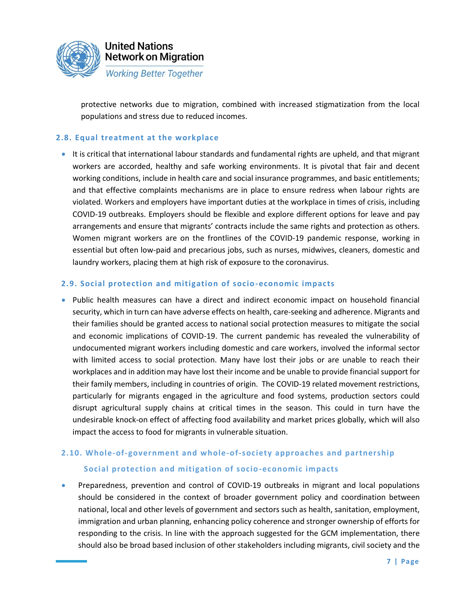

protective networks due to migration, combined with increased stigmatization from the local populations and stress due to reduced incomes.

#### **2.8. Equal treatment at the workplace**

• It is critical that international labour standards and fundamental rights are upheld, and that migrant workers are accorded, healthy and safe working environments. It is pivotal that fair and decent working conditions, include in health care and social insurance programmes, and basic entitlements; and that effective complaints mechanisms are in place to ensure redress when labour rights are violated. Workers and employers have important duties at the workplace in times of crisis, including COVID-19 outbreaks. Employers should be flexible and explore different options for leave and pay arrangements and ensure that migrants' contracts include the same rights and protection as others. Women migrant workers are on the frontlines of the COVID-19 pandemic response, working in essential but often low-paid and precarious jobs, such as nurses, midwives, cleaners, domestic and laundry workers, placing them at high risk of exposure to the coronavirus.

#### **2.9. Social protection and mitigation of socio-economic impacts**

• Public health measures can have a direct and indirect economic impact on household financial security, which in turn can have adverse effects on health, care-seeking and adherence. Migrants and their families should be granted access to national social protection measures to mitigate the social and economic implications of COVID-19. The current pandemic has revealed the vulnerability of undocumented migrant workers including domestic and care workers, involved the informal sector with limited access to social protection. Many have lost their jobs or are unable to reach their workplaces and in addition may have lost their income and be unable to provide financial support for their family members, including in countries of origin. The COVID-19 related movement restrictions, particularly for migrants engaged in the agriculture and food systems, production sectors could disrupt agricultural supply chains at critical times in the season. This could in turn have the undesirable knock-on effect of affecting food availability and market prices globally, which will also impact the access to food for migrants in vulnerable situation.

# **2.10. Whole-of-government and whole-of-society approaches and partnership Social protection and mitigation of socio-economic impacts**

• Preparedness, prevention and control of COVID-19 outbreaks in migrant and local populations should be considered in the context of broader government policy and coordination between national, local and other levels of government and sectors such as health, sanitation, employment, immigration and urban planning, enhancing policy coherence and stronger ownership of efforts for responding to the crisis. In line with the approach suggested for the GCM implementation, there should also be broad based inclusion of other stakeholders including migrants, civil society and the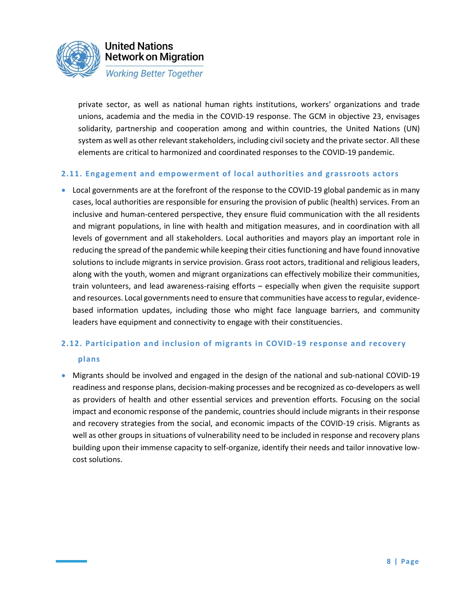

private sector, as well as national human rights institutions, workers' organizations and trade unions, academia and the media in the COVID-19 response. The GCM in objective 23, envisages solidarity, partnership and cooperation among and within countries, the United Nations (UN) system as well as other relevant stakeholders, including civil society and the private sector. All these elements are critical to harmonized and coordinated responses to the COVID-19 pandemic.

#### **2.11. Engagement and empowerment of local authorities and grassroots actors**

• Local governments are at the forefront of the response to the COVID-19 global pandemic as in many cases, local authorities are responsible for ensuring the provision of public (health) services. From an inclusive and human-centered perspective, they ensure fluid communication with the all residents and migrant populations, in line with health and mitigation measures, and in coordination with all levels of government and all stakeholders. Local authorities and mayors play an important role in reducing the spread of the pandemic while keeping their cities functioning and have found innovative solutions to include migrants in service provision. Grass root actors, traditional and religious leaders, along with the youth, women and migrant organizations can effectively mobilize their communities, train volunteers, and lead awareness-raising efforts – especially when given the requisite support and resources. Local governments need to ensure that communities have access to regular, evidencebased information updates, including those who might face language barriers, and community leaders have equipment and connectivity to engage with their constituencies.

# **2.12. Participation and inclusion of migrants in COVID-19 response and recovery plans**

• Migrants should be involved and engaged in the design of the national and sub-national COVID-19 readiness and response plans, decision-making processes and be recognized as co-developers as well as providers of health and other essential services and prevention efforts. Focusing on the social impact and economic response of the pandemic, countries should include migrants in their response and recovery strategies from the social, and economic impacts of the COVID-19 crisis. Migrants as well as other groups in situations of vulnerability need to be included in response and recovery plans building upon their immense capacity to self-organize, identify their needs and tailor innovative lowcost solutions.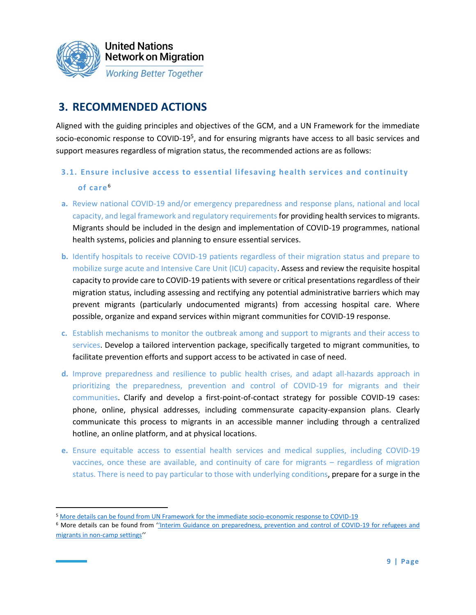

# **3. RECOMMENDED ACTIONS**

Aligned with the guiding principles and objectives of the GCM, and a UN Framework for the immediate socio-economic response to COVID-19<sup>5</sup>, and for ensuring migrants have access to all basic services and support measures regardless of migration status, the recommended actions are as follows:

## **3.1. Ensure inclusive access to essential lifesaving health services and continuity of care** <sup>6</sup>

- **a.** Review national COVID-19 and/or emergency preparedness and response plans, national and local capacity, and legal framework and regulatory requirements for providing health services to migrants. Migrants should be included in the design and implementation of COVID-19 programmes, national health systems, policies and planning to ensure essential services.
- **b.** Identify hospitals to receive COVID-19 patients regardless of their migration status and prepare to mobilize surge acute and Intensive Care Unit (ICU) capacity. Assess and review the requisite hospital capacity to provide care to COVID-19 patients with severe or critical presentations regardless of their migration status, including assessing and rectifying any potential administrative barriers which may prevent migrants (particularly undocumented migrants) from accessing hospital care. Where possible, organize and expand services within migrant communities for COVID-19 response.
- **c.** Establish mechanisms to monitor the outbreak among and support to migrants and their access to services. Develop a tailored intervention package, specifically targeted to migrant communities, to facilitate prevention efforts and support access to be activated in case of need.
- **d.** Improve preparedness and resilience to public health crises, and adapt all-hazards approach in prioritizing the preparedness, prevention and control of COVID-19 for migrants and their communities. Clarify and develop a first-point-of-contact strategy for possible COVID-19 cases: phone, online, physical addresses, including commensurate capacity-expansion plans. Clearly communicate this process to migrants in an accessible manner including through a centralized hotline, an online platform, and at physical locations.
- **e.** Ensure equitable access to essential health services and medical supplies, including COVID-19 vaccines, once these are available, and continuity of care for migrants – regardless of migration status. There is need to pay particular to those with underlying conditions, prepare for a surge in the

<sup>5</sup> More details can be found from [UN Framework for the immediate socio-economic response to COVID-19](https://unsdg.un.org/sites/default/files/2020-04/UN-Framework-for-the-immediate-socio-economic-response-to-COVID-19.pdf)

<sup>6</sup> More details can be found from ''[Interim Guidance on preparedness, prevention and control of COVID-19 for refugees and](https://www.who.int/emergencies/diseases/novel-coronavirus-2019/technical-guidance/humanitarian-operations-camps-and-other-fragile-settings)  [migrants in non-camp settings](https://www.who.int/emergencies/diseases/novel-coronavirus-2019/technical-guidance/humanitarian-operations-camps-and-other-fragile-settings)*''*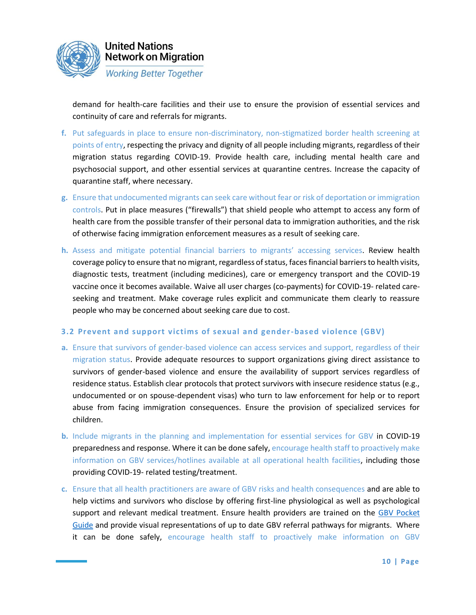

demand for health-care facilities and their use to ensure the provision of essential services and continuity of care and referrals for migrants.

- **f.** Put safeguards in place to ensure non-discriminatory, non-stigmatized border health screening at points of entry, respecting the privacy and dignity of all people including migrants, regardless of their migration status regarding COVID-19. Provide health care, including mental health care and psychosocial support, and other essential services at quarantine centres. Increase the capacity of quarantine staff, where necessary.
- **g.** Ensure that undocumented migrants can seek care without fear or risk of deportation or immigration controls. Put in place measures ("firewalls") that shield people who attempt to access any form of health care from the possible transfer of their personal data to immigration authorities, and the risk of otherwise facing immigration enforcement measures as a result of seeking care.
- **h.** Assess and mitigate potential financial barriers to migrants' accessing services. Review health coverage policy to ensure that no migrant, regardless of status, faces financial barriers to health visits, diagnostic tests, treatment (including medicines), care or emergency transport and the COVID-19 vaccine once it becomes available. Waive all user charges (co-payments) for COVID-19- related careseeking and treatment. Make coverage rules explicit and communicate them clearly to reassure people who may be concerned about seeking care due to cost.

#### **3.2 Prevent and support victims of sexual and gender-based violence (GBV)**

- **a.** Ensure that survivors of gender-based violence can access services and support, regardless of their migration status. Provide adequate resources to support organizations giving direct assistance to survivors of gender-based violence and ensure the availability of support services regardless of residence status. Establish clear protocols that protect survivors with insecure residence status (e.g., undocumented or on spouse-dependent visas) who turn to law enforcement for help or to report abuse from facing immigration consequences. Ensure the provision of specialized services for children.
- **b.** Include migrants in the planning and implementation for essential services for GBV in COVID-19 preparedness and response. Where it can be done safely, encourage health staff to proactively make information on GBV services/hotlines available at all operational health facilities, including those providing COVID-19- related testing/treatment.
- **c.** Ensure that all health practitioners are aware of GBV risks and health consequences and are able to help victims and survivors who disclose by offering first-line physiological as well as psychological support and relevant medical treatment. Ensure health providers are trained on the GBV Pocket [Guide](https://gbvguidelines.org/en/pocketguide/) and provide visual representations of up to date GBV referral pathways for migrants. Where it can be done safely, encourage health staff to proactively make information on GBV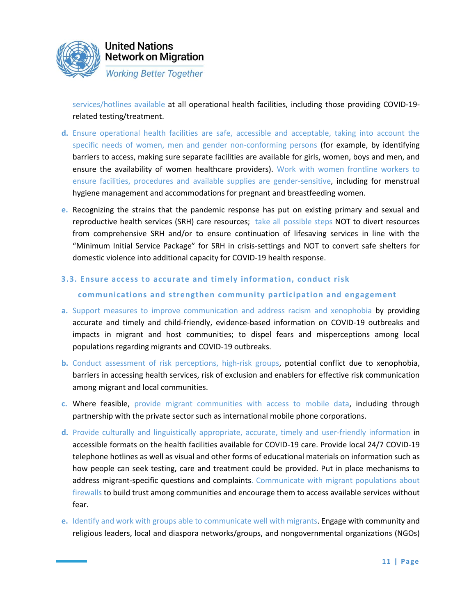

services/hotlines available at all operational health facilities, including those providing COVID-19 related testing/treatment.

- **d.** Ensure operational health facilities are safe, accessible and acceptable, taking into account the specific needs of women, men and gender non-conforming persons (for example, by identifying barriers to access, making sure separate facilities are available for girls, women, boys and men, and ensure the availability of women healthcare providers). Work with women frontline workers to ensure facilities, procedures and available supplies are gender-sensitive, including for menstrual hygiene management and accommodations for pregnant and breastfeeding women.
- **e.** Recognizing the strains that the pandemic response has put on existing primary and sexual and reproductive health services (SRH) care resources; take all possible steps NOT to divert resources from comprehensive SRH and/or to ensure continuation of lifesaving services in line with the "Minimum Initial Service Package" for SRH in crisis-settings and NOT to convert safe shelters for domestic violence into additional capacity for COVID-19 health response.
- **3.3. Ensure access to accurate and timely information, conduct risk**

### **communications and strengthen community participation and engagement**

- **a.** Support measures to improve communication and address racism and xenophobia by providing accurate and timely and child-friendly, evidence-based information on COVID-19 outbreaks and impacts in migrant and host communities; to dispel fears and misperceptions among local populations regarding migrants and COVID-19 outbreaks.
- **b.** Conduct assessment of risk perceptions, high-risk groups, potential conflict due to xenophobia, barriers in accessing health services, risk of exclusion and enablers for effective risk communication among migrant and local communities.
- **c.** Where feasible, provide migrant communities with access to mobile data, including through partnership with the private sector such as international mobile phone corporations.
- **d.** Provide culturally and linguistically appropriate, accurate, timely and user-friendly information in accessible formats on the health facilities available for COVID-19 care. Provide local 24/7 COVID-19 telephone hotlines as well as visual and other forms of educational materials on information such as how people can seek testing, care and treatment could be provided. Put in place mechanisms to address migrant-specific questions and complaints. Communicate with migrant populations about firewalls to build trust among communities and encourage them to access available services without fear.
- **e.** Identify and work with groups able to communicate well with migrants. Engage with community and religious leaders, local and diaspora networks/groups, and nongovernmental organizations (NGOs)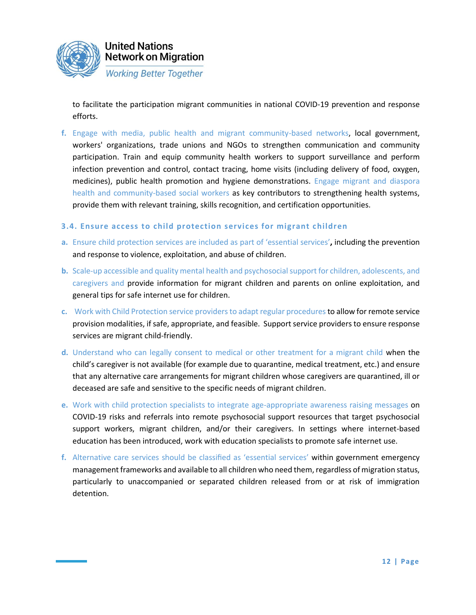

to facilitate the participation migrant communities in national COVID-19 prevention and response efforts.

**f.** Engage with media, public health and migrant community-based networks, local government, workers' organizations, trade unions and NGOs to strengthen communication and community participation. Train and equip community health workers to support surveillance and perform infection prevention and control, contact tracing, home visits (including delivery of food, oxygen, medicines), public health promotion and hygiene demonstrations. Engage migrant and diaspora health and community-based social workers as key contributors to strengthening health systems, provide them with relevant training, skills recognition, and certification opportunities.

### **3.4. Ensure access to child protection services for migrant children**

- **a.** Ensure child protection services are included as part of 'essential services'**,** including the prevention and response to violence, exploitation, and abuse of children.
- **b.** Scale-up accessible and quality mental health and psychosocial support for children, adolescents, and caregivers and provide information for migrant children and parents on online exploitation, and general tips for safe internet use for children.
- **c.** Work with Child Protection service providers to adapt regular procedures to allow for remote service provision modalities, if safe, appropriate, and feasible. Support service providers to ensure response services are migrant child-friendly.
- **d.** Understand who can legally consent to medical or other treatment for a migrant child when the child's caregiver is not available (for example due to quarantine, medical treatment, etc.) and ensure that any alternative care arrangements for migrant children whose caregivers are quarantined, ill or deceased are safe and sensitive to the specific needs of migrant children.
- **e.** Work with child protection specialists to integrate age-appropriate awareness raising messages on COVID-19 risks and referrals into remote psychosocial support resources that target psychosocial support workers, migrant children, and/or their caregivers. In settings where internet-based education has been introduced, work with education specialists to promote safe internet use.
- **f.** Alternative care services should be classified as 'essential services' within government emergency management frameworks and available to all children who need them, regardless of migration status, particularly to unaccompanied or separated children released from or at risk of immigration detention.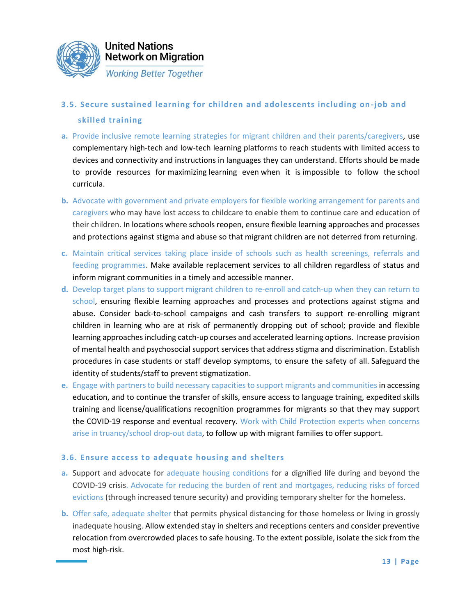

# **3.5. Secure sustained learning for children and adolescents including on -job and skilled training**

- **a.** Provide inclusive remote learning strategies for migrant children and their parents/caregivers, use complementary high-tech and low-tech learning platforms to reach students with limited access to devices and connectivity and instructions in languages they can understand. Efforts should be made to provide resources for maximizing learning even when it is impossible to follow the school curricula.
- **b.** Advocate with government and private employers for flexible working arrangement for parents and caregivers who may have lost access to childcare to enable them to continue care and education of their children. In locations where schools reopen, ensure flexible learning approaches and processes and protections against stigma and abuse so that migrant children are not deterred from returning.
- **c.** Maintain critical services taking place inside of schools such as health screenings, referrals and feeding programmes. Make available replacement services to all children regardless of status and inform migrant communities in a timely and accessible manner.
- **d.** Develop target plans to support migrant children to re-enroll and catch-up when they can return to school, ensuring flexible learning approaches and processes and protections against stigma and abuse. Consider back-to-school campaigns and cash transfers to support re-enrolling migrant children in learning who are at risk of permanently dropping out of school; provide and flexible learning approaches including catch-up courses and accelerated learning options. Increase provision of mental health and psychosocial support services that address stigma and discrimination. Establish procedures in case students or staff develop symptoms, to ensure the safety of all. Safeguard the identity of students/staff to prevent stigmatization.
- **e.** Engage with partners to build necessary capacities to support migrants and communities in accessing education, and to continue the transfer of skills, ensure access to language training, expedited skills training and license/qualifications recognition programmes for migrants so that they may support the COVID-19 response and eventual recovery. Work with Child Protection experts when concerns arise in truancy/school drop-out data, to follow up with migrant families to offer support.

### **3.6. Ensure access to adequate housing and shelters**

- **a.** Support and advocate for adequate housing conditions for a dignified life during and beyond the COVID-19 crisis. Advocate for reducing the burden of rent and mortgages, reducing risks of forced evictions (through increased tenure security) and providing temporary shelter for the homeless.
- **b.** Offer safe, adequate shelter that permits physical distancing for those homeless or living in grossly inadequate housing. Allow extended stay in shelters and receptions centers and consider preventive relocation from overcrowded places to safe housing. To the extent possible, isolate the sick from the most high-risk.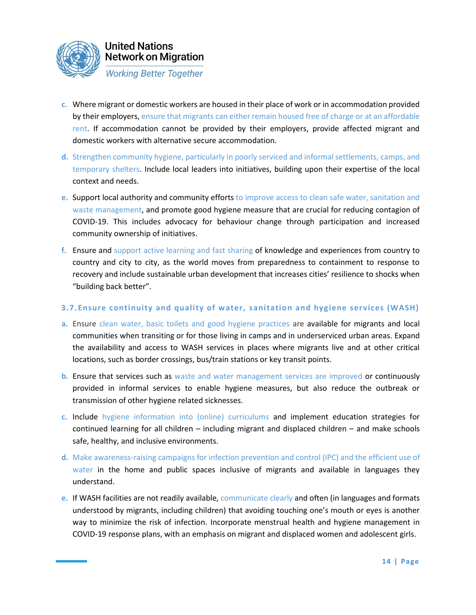

- **c.** Where migrant or domestic workers are housed in their place of work or in accommodation provided by their employers, ensure that migrants can either remain housed free of charge or at an affordable rent. If accommodation cannot be provided by their employers, provide affected migrant and domestic workers with alternative secure accommodation.
- **d.** Strengthen community hygiene, particularly in poorly serviced and informal settlements, camps, and temporary shelters. Include local leaders into initiatives, building upon their expertise of the local context and needs.
- **e.** Support local authority and community efforts to improve access to clean safe water, sanitation and waste management, and promote good hygiene measure that are crucial for reducing contagion of COVID-19. This includes advocacy for behaviour change through participation and increased community ownership of initiatives.
- **f.** Ensure and support active learning and fast sharing of knowledge and experiences from country to country and city to city, as the world moves from preparedness to containment to response to recovery and include sustainable urban development that increases cities' resilience to shocks when "building back better".

### **3.7. Ensure continuity and quality of water, sanitation and hygiene services (WASH)**

- **a.** Ensure clean water, basic toilets and good hygiene practices are available for migrants and local communities when transiting or for those living in camps and in underserviced urban areas. Expand the availability and access to WASH services in places where migrants live and at other critical locations, such as border crossings, bus/train stations or key transit points.
- **b.** Ensure that services such as waste and water management services are improved or continuously provided in informal services to enable hygiene measures, but also reduce the outbreak or transmission of other hygiene related sicknesses.
- **c.** Include hygiene information into (online) curriculums and implement education strategies for continued learning for all children – including migrant and displaced children – and make schools safe, healthy, and inclusive environments.
- **d.** Make awareness-raising campaigns for infection prevention and control (IPC) and the efficient use of water in the home and public spaces inclusive of migrants and available in languages they understand.
- **e.** If WASH facilities are not readily available, communicate clearly and often (in languages and formats understood by migrants, including children) that avoiding touching one's mouth or eyes is another way to minimize the risk of infection. Incorporate menstrual health and hygiene management in COVID-19 response plans, with an emphasis on migrant and displaced women and adolescent girls.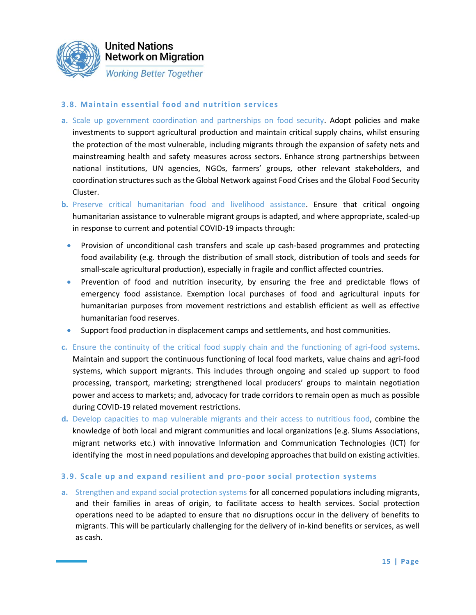

**Working Better Together** 

### **3.8. Maintain essential food and nutrition services**

- **a.** Scale up government coordination and partnerships on food security. Adopt policies and make investments to support agricultural production and maintain critical supply chains, whilst ensuring the protection of the most vulnerable, including migrants through the expansion of safety nets and mainstreaming health and safety measures across sectors. Enhance strong partnerships between national institutions, UN agencies, NGOs, farmers' groups, other relevant stakeholders, and coordination structures such as the Global Network against Food Crises and the Global Food Security Cluster.
- **b.** Preserve critical humanitarian food and livelihood assistance. Ensure that critical ongoing humanitarian assistance to vulnerable migrant groups is adapted, and where appropriate, scaled-up in response to current and potential COVID-19 impacts through:
	- Provision of unconditional cash transfers and scale up cash-based programmes and protecting food availability (e.g. through the distribution of small stock, distribution of tools and seeds for small-scale agricultural production), especially in fragile and conflict affected countries.
	- Prevention of food and nutrition insecurity, by ensuring the free and predictable flows of emergency food assistance. Exemption local purchases of food and agricultural inputs for humanitarian purposes from movement restrictions and establish efficient as well as effective humanitarian food reserves.
	- Support food production in displacement camps and settlements, and host communities.
- **c.** Ensure the continuity of the critical food supply chain and the functioning of agri-food systems. Maintain and support the continuous functioning of local food markets, value chains and agri-food systems, which support migrants. This includes through ongoing and scaled up support to food processing, transport, marketing; strengthened local producers' groups to maintain negotiation power and access to markets; and, advocacy for trade corridors to remain open as much as possible during COVID-19 related movement restrictions.
- **d.** Develop capacities to map vulnerable migrants and their access to nutritious food, combine the knowledge of both local and migrant communities and local organizations (e.g. Slums Associations, migrant networks etc.) with innovative Information and Communication Technologies (ICT) for identifying the most in need populations and developing approaches that build on existing activities.

### **3.9. Scale up and expand resilient and pro-poor social protection systems**

**a.** Strengthen and expand social protection systems for all concerned populations including migrants, and their families in areas of origin, to facilitate access to health services. Social protection operations need to be adapted to ensure that no disruptions occur in the delivery of benefits to migrants. This will be particularly challenging for the delivery of in-kind benefits or services, as well as cash.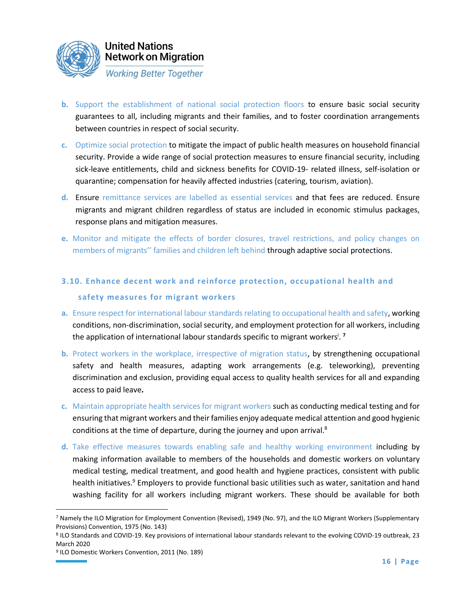

**Network on Migration Working Better Together** 

- **b.** Support the establishment of national social protection floors to ensure basic social security guarantees to all, including migrants and their families, and to foster coordination arrangements between countries in respect of social security.
- **c.** Optimize social protection to mitigate the impact of public health measures on household financial security. Provide a wide range of social protection measures to ensure financial security, including sick-leave entitlements, child and sickness benefits for COVID-19- related illness, self-isolation or quarantine; compensation for heavily affected industries (catering, tourism, aviation).
- **d.** Ensure remittance services are labelled as essential services and that fees are reduced. Ensure migrants and migrant children regardless of status are included in economic stimulus packages, response plans and mitigation measures.
- **e.** Monitor and mitigate the effects of border closures, travel restrictions, and policy changes on members of migrants'' families and children left behind through adaptive social protections.
- **3.10. Enhance decent work and reinforce protection, occupational health and safety measures for migrant workers**
- **a.** Ensure respect for international labour standards relating to occupational health and safety, working conditions, non-discrimination, social security, and employment protection for all workers, including the application of international labour standards specific to migrant workers<sup>i</sup> . **7**
- **b.** Protect workers in the workplace, irrespective of migration status, by strengthening occupational safety and health measures, adapting work arrangements (e.g. teleworking), preventing discrimination and exclusion, providing equal access to quality health services for all and expanding access to paid leave**.**
- **c.** Maintain appropriate health services for migrant workers such as conducting medical testing and for ensuring that migrant workers and their families enjoy adequate medical attention and good hygienic conditions at the time of departure, during the journey and upon arrival.<sup>8</sup>
- **d.** Take effective measures towards enabling safe and healthy working environment including by making information available to members of the households and domestic workers on voluntary medical testing, medical treatment, and good health and hygiene practices, consistent with public health initiatives.<sup>9</sup> Employers to provide functional basic utilities such as water, sanitation and hand washing facility for all workers including migrant workers. These should be available for both

<sup>7</sup> Namely the ILO Migration for Employment Convention (Revised), 1949 (No. 97), and the ILO Migrant Workers (Supplementary Provisions) Convention, 1975 (No. 143)

<sup>8</sup> ILO Standards and COVID-19. Key provisions of international labour standards relevant to the evolving COVID-19 outbreak, 23 March 2020

<sup>9</sup> ILO Domestic Workers Convention, 2011 (No. 189)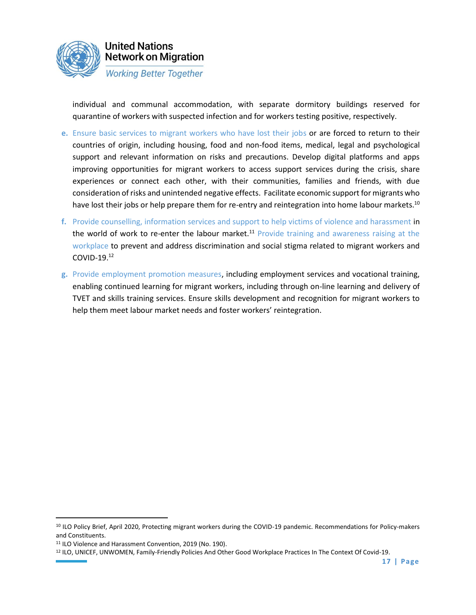

individual and communal accommodation, with separate dormitory buildings reserved for quarantine of workers with suspected infection and for workers testing positive, respectively.

- **e.** Ensure basic services to migrant workers who have lost their jobs or are forced to return to their countries of origin, including housing, food and non-food items, medical, legal and psychological support and relevant information on risks and precautions. Develop digital platforms and apps improving opportunities for migrant workers to access support services during the crisis, share experiences or connect each other, with their communities, families and friends, with due consideration of risks and unintended negative effects. Facilitate economic support for migrants who have lost their jobs or help prepare them for re-entry and reintegration into home labour markets.<sup>10</sup>
- **f.** Provide counselling, information services and support to help victims of violence and harassment in the world of work to re-enter the labour market.<sup>11</sup> Provide training and awareness raising at the workplace to prevent and address discrimination and social stigma related to migrant workers and COVID-19.<sup>12</sup>
- **g.** Provide employment promotion measures, including employment services and vocational training, enabling continued learning for migrant workers, including through on-line learning and delivery of TVET and skills training services. Ensure skills development and recognition for migrant workers to help them meet labour market needs and foster workers' reintegration.

<sup>10</sup> ILO Policy Brief, April 2020, Protecting migrant workers during the COVID-19 pandemic. Recommendations for Policy-makers and Constituents.

<sup>11</sup> ILO Violence and Harassment Convention, 2019 (No. 190).

<sup>12</sup> ILO, UNICEF, UNWOMEN, Family-Friendly Policies And Other Good Workplace Practices In The Context Of Covid-19.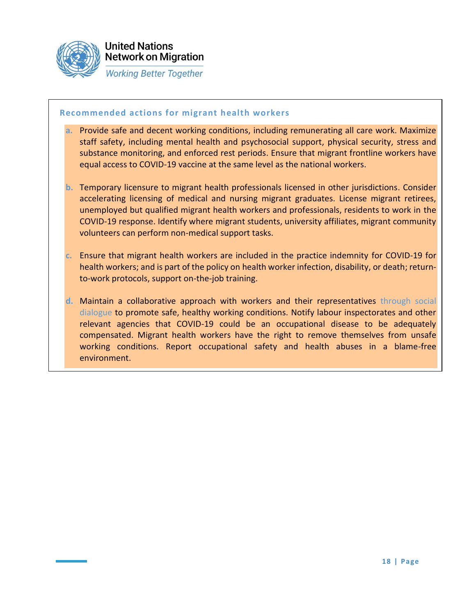

#### **Recommended actions for migrant health workers**

- **a.** Provide safe and decent working conditions, including remunerating all care work. Maximize staff safety, including mental health and psychosocial support, physical security, stress and substance monitoring, and enforced rest periods. Ensure that migrant frontline workers have equal access to COVID-19 vaccine at the same level as the national workers.
- **b.** Temporary licensure to migrant health professionals licensed in other jurisdictions. Consider accelerating licensing of medical and nursing migrant graduates. License migrant retirees, unemployed but qualified migrant health workers and professionals, residents to work in the COVID-19 response. Identify where migrant students, university affiliates, migrant community volunteers can perform non-medical support tasks.
- **c.** Ensure that migrant health workers are included in the practice indemnity for COVID-19 for health workers; and is part of the policy on health worker infection, disability, or death; returnto-work protocols, support on-the-job training.
- **d.** Maintain a collaborative approach with workers and their representatives through social dialogue to promote safe, healthy working conditions. Notify labour inspectorates and other relevant agencies that COVID-19 could be an occupational disease to be adequately compensated. Migrant health workers have the right to remove themselves from unsafe working conditions. Report occupational safety and health abuses in a blame-free environment.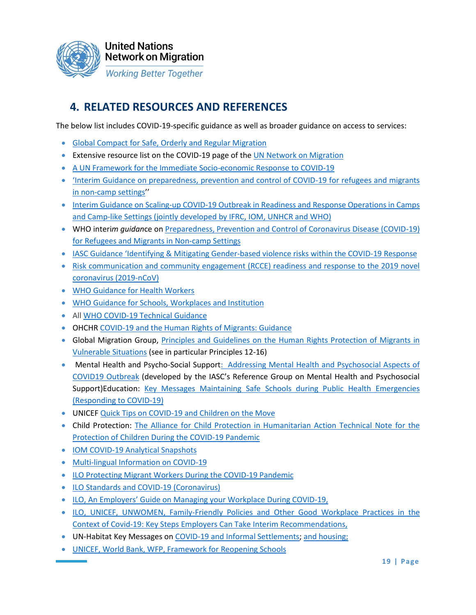

# **4. RELATED RESOURCES AND REFERENCES**

The below list includes COVID-19-specific guidance as well as broader guidance on access to services:

- [Global Compact for Safe, Orderly and Regular Migration](https://migrationnetwork.un.org/sites/default/files/docs/gcm-n1845199.pdf)
- Extensive resource list on the COVID-19 page of the [UN Network on Migration](https://migrationnetwork.un.org/covid-19)
- A UN Framework for the Immediate Socio-economic Response to COVID-19
- 'Interim Guidance on preparedness, prevention and control of COVID-19 for refugees and migrants [in non-camp settings](https://www.who.int/emergencies/diseases/novel-coronavirus-2019/technical-guidance/humanitarian-operations-camps-and-other-fragile-settings)''
- [Interim Guidance on Scaling-up COVID-19 Outbreak in Readiness and Response Operations in Camps](https://worldhealthorg.workplace.com/photo.php?fbid=259717578504346&set=pcb.251784069518767&type=3&theater)  [and Camp-like Settings \(jointly developed by IFRC, IOM, UNHCR and WHO\)](https://worldhealthorg.workplace.com/photo.php?fbid=259717578504346&set=pcb.251784069518767&type=3&theater)
- WHO interi*m guidan*ce o[n Preparedness, Prevention and Control of Coronavirus Disease \(COVID-19\)](file://///fshq.ad.ohchr.org/RRDB/DESIB%20HRESIS/Migration/A_Previous_Structure/UN%20Migration%20Network/8.%20Working%20groups/TWG%206%20Access%20to%20Services/•https:/www.who.int/publications-detail/preparedness-prevention-and-control-of-coronavirus-disease-(covid-19)-for-refugees-and-migrants-in-non-camp-settings)  [for Refugees and Migrants in Non-camp Settings](file://///fshq.ad.ohchr.org/RRDB/DESIB%20HRESIS/Migration/A_Previous_Structure/UN%20Migration%20Network/8.%20Working%20groups/TWG%206%20Access%20to%20Services/•https:/www.who.int/publications-detail/preparedness-prevention-and-control-of-coronavirus-disease-(covid-19)-for-refugees-and-migrants-in-non-camp-settings)
- IASC Guidance 'Identifying & Mitigating Gender[-based violence risks within the COVID-19 Response](https://worldhealthorg.workplace.com/photo.php?fbid=259717578504346&set=pcb.251784069518767&type=3&theater)
- [Risk communication and community engagement \(RCCE\) readiness and response to the 2019 novel](https://worldhealthorg.workplace.com/photo.php?fbid=259717578504346&set=pcb.251784069518767&type=3&theater)  [coronavirus \(2019-nCoV\)](https://worldhealthorg.workplace.com/photo.php?fbid=259717578504346&set=pcb.251784069518767&type=3&theater)
- [WHO Guidance for Health Workers](https://worldhealthorg.workplace.com/photo.php?fbid=259717578504346&set=pcb.251784069518767&type=3&theater)
- [WHO Guidance for Schools, Workplaces and Institution](https://worldhealthorg.workplace.com/photo.php?fbid=259717578504346&set=pcb.251784069518767&type=3&theater)
- All [WHO COVID-19 Technical Guidance](https://worldhealthorg.workplace.com/photo.php?fbid=259717578504346&set=pcb.251784069518767&type=3&theater)
- OHCHR [COVID-19 and the Human Rights of Migrants: Guidance](https://www.ohchr.org/Documents/Issues/Migration/OHCHRGuidance_COVID19_Migrants.pdf)
- Global Migration Group, [Principles and Guidelines on the Human Rights Protection of Migrants in](https://www.ohchr.org/Documents/Issues/Migration/PrinciplesAndGuidelines.pdf)  [Vulnerable Situations](https://www.ohchr.org/Documents/Issues/Migration/PrinciplesAndGuidelines.pdf) (see in particular Principles 12-16)
- Mental Health and Psycho-Social Suppor[t: Addressing Mental Health and Psychosocial Aspects of](https://interagencystandingcommittee.org/iasc-reference-group-mental-health-and-psychosocial-support-emergency-settings/interim-briefing)  [COVID19 Outbreak](https://interagencystandingcommittee.org/iasc-reference-group-mental-health-and-psychosocial-support-emergency-settings/interim-briefing) (developed by the IASC's Reference Group on Mental Health and Psychosocial Support)Education: Key Messages Maintaining Safe Schools during Public Health Emergencies [\(Responding to COVID-19\)](https://unicef.sharepoint.com/sites/EMOPS-2019nCoV/DocumentLibrary1/Forms/AllItems.aspx?id=%2Fsites%2FEMOPS%2D2019nCoV%2FDocumentLibrary1%2FEducation%20Toolkit%20%2D%20COVID%2D19%2FProgrammatic%20Response%2FKey%20Messages%20on%20education%20response%20%2Epdf&parent=%2Fsites%2FEMOPS%2D2019nCoV%2FDocumentLibrary1%2FEducation%20Toolkit%20%2D%20COVID%2D19%2FProgrammatic%20Response)
- UNICEF [Quick Tips on COVID-19 and Children on the Move](https://www.unicef.org/media/67221/file)
- Child Protection: [The Alliance for Child Protection in Humanitarian Action Technical Note for the](https://alliancecpha.org/en/COVD19)  [Protection of Children During the COVID-19 Pandemic](https://alliancecpha.org/en/COVD19)
- [IOM COVID-19 Analytical Snapshots](https://www.iom.int/migration-research/covid-19-analytical-snapshot)
- [Multi-lingual Information on COVID-19](https://www.iom.int/sites/default/files/covid19-response/english.pdf)
- [ILO Protecting Migrant Workers During the COVID-19 Pandemic](https://www.ilo.org/wcmsp5/groups/public/---ed_norm/---normes/documents/publication/wcms_739937.pdf)
- [ILO Standards and COVID-19 \(Coronavirus\)](https://www.ilo.org/wcmsp5/groups/public/---ed_norm/---normes/documents/publication/wcms_739937.pdf)
- ILO, An Employers' [Guide on Managing your Workplace During COVID-19,](https://www.ilo.org/wcmsp5/groups/public/---ed_dialogue/---act_emp/documents/publication/wcms_740212.pdf)
- [ILO, UNICEF, UNWOMEN, Family-Friendly Policies and Other Good Workplace Practices in the](https://migrationnetwork.un.org/sites/default/files/docs/family-friendly-policies-covid-19-guidance-2020.pdf)  [Context of Covid-19: Key Steps Employers Can Take Interim Recommendations,](https://migrationnetwork.un.org/sites/default/files/docs/family-friendly-policies-covid-19-guidance-2020.pdf)
- UN-Habitat Key Messages on COVID-19 and [Informal Settlements;](https://unhabitat.org/sites/default/files/2020/03/english_final_un-habitat_key_messages-covid19-informal_settlements.pdf) [and housing;](https://unhabitat.org/sites/default/files/2020/04/housing_and_covid_messages_7_april_2020-2.pdf)
- [UNICEF, World Bank, WFP, Framework for Reopening Schools](https://www.unicef.org/documents/framework-reopening-schools)